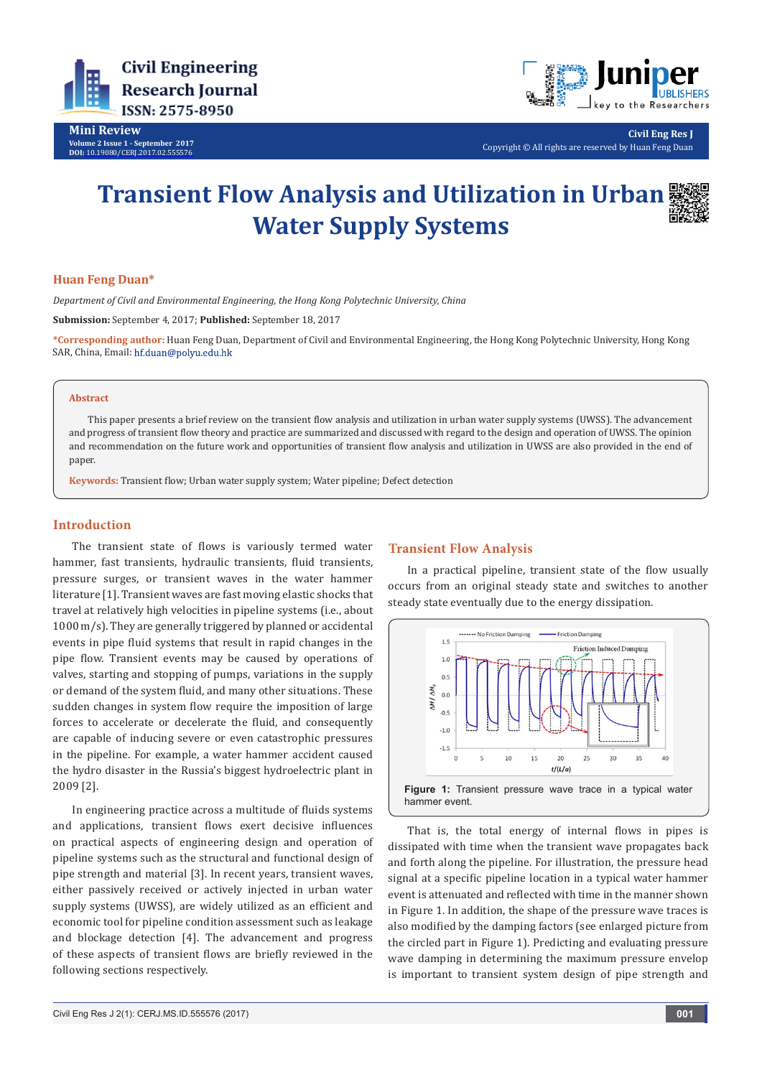

**Mini Review Volume 2 Issue 1 - September 2017 DOI:** [10.19080/CERJ.2017.02.555576](http://dx.doi.org/10.19080/CERJ.2017.02.555576
)



**Civil Eng Res J** Copyright © All rights are reserved by Huan Feng Duan

# **Transient Flow Analysis and Utilization in Urban Water Supply Systems**

## **Huan Feng Duan\***

*Department of Civil and Environmental Engineering, the Hong Kong Polytechnic University, China*

**Submission:** September 4, 2017; **Published:** September 18, 2017

**\*Corresponding author:** Huan Feng Duan, Department of Civil and Environmental Engineering, the Hong Kong Polytechnic University, Hong Kong SAR, China, Email: hf.duan@polyu.edu.hk

## **Abstract**

This paper presents a brief review on the transient flow analysis and utilization in urban water supply systems (UWSS). The advancement and progress of transient flow theory and practice are summarized and discussed with regard to the design and operation of UWSS. The opinion and recommendation on the future work and opportunities of transient flow analysis and utilization in UWSS are also provided in the end of paper.

**Keywords:** Transient flow; Urban water supply system; Water pipeline; Defect detection

## **Introduction**

The transient state of flows is variously termed water hammer, fast transients, hydraulic transients, fluid transients, pressure surges, or transient waves in the water hammer literature [1]. Transient waves are fast moving elastic shocks that travel at relatively high velocities in pipeline systems (i.e., about 1000 m/s). They are generally triggered by planned or accidental events in pipe fluid systems that result in rapid changes in the pipe flow. Transient events may be caused by operations of valves, starting and stopping of pumps, variations in the supply or demand of the system fluid, and many other situations. These sudden changes in system flow require the imposition of large forces to accelerate or decelerate the fluid, and consequently are capable of inducing severe or even catastrophic pressures in the pipeline. For example, a water hammer accident caused the hydro disaster in the Russia's biggest hydroelectric plant in 2009 [2].

In engineering practice across a multitude of fluids systems and applications, transient flows exert decisive influences on practical aspects of engineering design and operation of pipeline systems such as the structural and functional design of pipe strength and material [3]. In recent years, transient waves, either passively received or actively injected in urban water supply systems (UWSS), are widely utilized as an efficient and economic tool for pipeline condition assessment such as leakage and blockage detection [4]. The advancement and progress of these aspects of transient flows are briefly reviewed in the following sections respectively.

### **Transient Flow Analysis**

In a practical pipeline, transient state of the flow usually occurs from an original steady state and switches to another steady state eventually due to the energy dissipation.



That is, the total energy of internal flows in pipes is dissipated with time when the transient wave propagates back and forth along the pipeline. For illustration, the pressure head signal at a specific pipeline location in a typical water hammer event is attenuated and reflected with time in the manner shown in Figure 1. In addition, the shape of the pressure wave traces is also modified by the damping factors (see enlarged picture from the circled part in Figure 1). Predicting and evaluating pressure wave damping in determining the maximum pressure envelop is important to transient system design of pipe strength and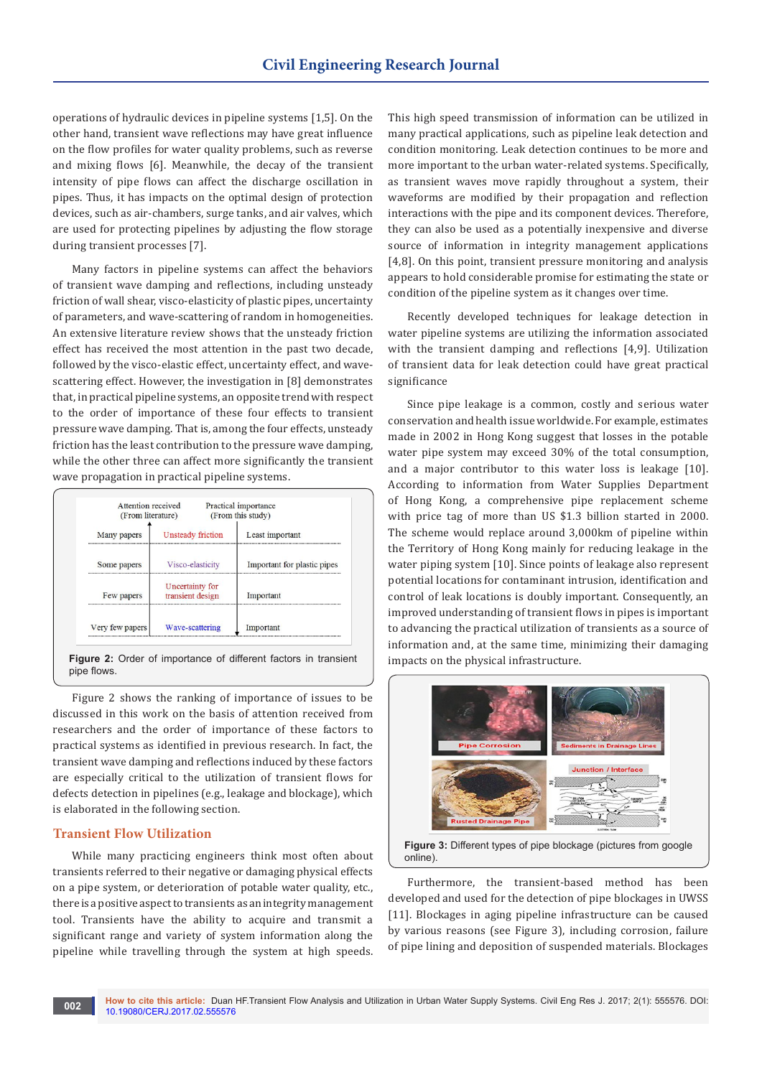operations of hydraulic devices in pipeline systems [1,5]. On the other hand, transient wave reflections may have great influence on the flow profiles for water quality problems, such as reverse and mixing flows [6]. Meanwhile, the decay of the transient intensity of pipe flows can affect the discharge oscillation in pipes. Thus, it has impacts on the optimal design of protection devices, such as air-chambers, surge tanks, and air valves, which are used for protecting pipelines by adjusting the flow storage during transient processes [7].

Many factors in pipeline systems can affect the behaviors of transient wave damping and reflections, including unsteady friction of wall shear, visco-elasticity of plastic pipes, uncertainty of parameters, and wave-scattering of random in homogeneities. An extensive literature review shows that the unsteady friction effect has received the most attention in the past two decade, followed by the visco-elastic effect, uncertainty effect, and wavescattering effect. However, the investigation in [8] demonstrates that, in practical pipeline systems, an opposite trend with respect to the order of importance of these four effects to transient pressure wave damping. That is, among the four effects, unsteady friction has the least contribution to the pressure wave damping, while the other three can affect more significantly the transient wave propagation in practical pipeline systems.

| Attention received<br>(From literature) |                                     | Practical importance<br>(From this study) |
|-----------------------------------------|-------------------------------------|-------------------------------------------|
| Many papers                             | <b>Unsteady friction</b>            | Least important                           |
| Some papers                             | Visco-elasticity                    | Important for plastic pipes               |
| Few papers                              | Uncertainty for<br>transient design | Important                                 |
| Very few papers                         | Wave-scattering                     | Important                                 |

**Figure 2:** Order of importance of different factors in transient pipe flows.

Figure 2 shows the ranking of importance of issues to be discussed in this work on the basis of attention received from researchers and the order of importance of these factors to practical systems as identified in previous research. In fact, the transient wave damping and reflections induced by these factors are especially critical to the utilization of transient flows for defects detection in pipelines (e.g., leakage and blockage), which is elaborated in the following section.

## **Transient Flow Utilization**

While many practicing engineers think most often about transients referred to their negative or damaging physical effects on a pipe system, or deterioration of potable water quality, etc., there is a positive aspect to transients as an integrity management tool. Transients have the ability to acquire and transmit a significant range and variety of system information along the pipeline while travelling through the system at high speeds.

This high speed transmission of information can be utilized in many practical applications, such as pipeline leak detection and condition monitoring. Leak detection continues to be more and more important to the urban water-related systems. Specifically, as transient waves move rapidly throughout a system, their waveforms are modified by their propagation and reflection interactions with the pipe and its component devices. Therefore, they can also be used as a potentially inexpensive and diverse source of information in integrity management applications [4,8]. On this point, transient pressure monitoring and analysis appears to hold considerable promise for estimating the state or condition of the pipeline system as it changes over time.

Recently developed techniques for leakage detection in water pipeline systems are utilizing the information associated with the transient damping and reflections [4,9]. Utilization of transient data for leak detection could have great practical significance

Since pipe leakage is a common, costly and serious water conservation and health issue worldwide. For example, estimates made in 2002 in Hong Kong suggest that losses in the potable water pipe system may exceed 30% of the total consumption, and a major contributor to this water loss is leakage [10]. According to information from Water Supplies Department of Hong Kong, a comprehensive pipe replacement scheme with price tag of more than US \$1.3 billion started in 2000. The scheme would replace around 3,000km of pipeline within the Territory of Hong Kong mainly for reducing leakage in the water piping system [10]. Since points of leakage also represent potential locations for contaminant intrusion, identification and control of leak locations is doubly important. Consequently, an improved understanding of transient flows in pipes is important to advancing the practical utilization of transients as a source of information and, at the same time, minimizing their damaging impacts on the physical infrastructure.



Furthermore, the transient-based method has been developed and used for the detection of pipe blockages in UWSS [11]. Blockages in aging pipeline infrastructure can be caused by various reasons (see Figure 3), including corrosion, failure of pipe lining and deposition of suspended materials. Blockages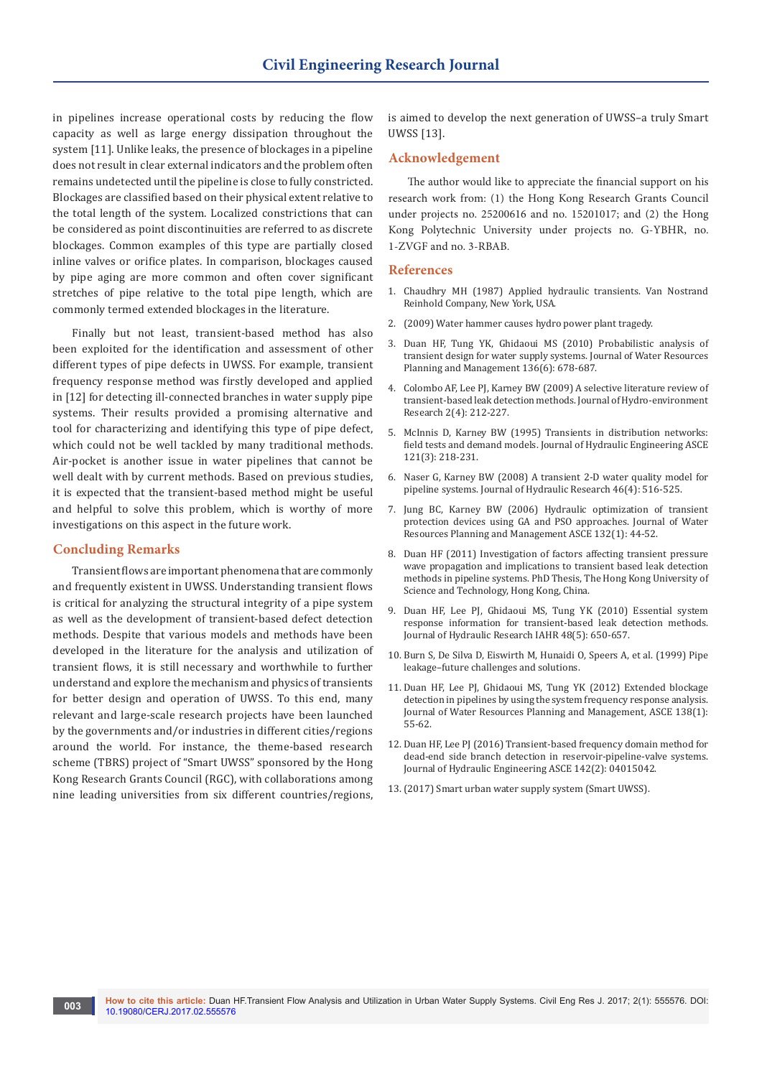in pipelines increase operational costs by reducing the flow capacity as well as large energy dissipation throughout the system [11]. Unlike leaks, the presence of blockages in a pipeline does not result in clear external indicators and the problem often remains undetected until the pipeline is close to fully constricted. Blockages are classified based on their physical extent relative to the total length of the system. Localized constrictions that can be considered as point discontinuities are referred to as discrete blockages. Common examples of this type are partially closed inline valves or orifice plates. In comparison, blockages caused by pipe aging are more common and often cover significant stretches of pipe relative to the total pipe length, which are commonly termed extended blockages in the literature.

Finally but not least, transient-based method has also been exploited for the identification and assessment of other different types of pipe defects in UWSS. For example, transient frequency response method was firstly developed and applied in [12] for detecting ill-connected branches in water supply pipe systems. Their results provided a promising alternative and tool for characterizing and identifying this type of pipe defect, which could not be well tackled by many traditional methods. Air-pocket is another issue in water pipelines that cannot be well dealt with by current methods. Based on previous studies, it is expected that the transient-based method might be useful and helpful to solve this problem, which is worthy of more investigations on this aspect in the future work.

## **Concluding Remarks**

Transient flows are important phenomena that are commonly and frequently existent in UWSS. Understanding transient flows is critical for analyzing the structural integrity of a pipe system as well as the development of transient-based defect detection methods. Despite that various models and methods have been developed in the literature for the analysis and utilization of transient flows, it is still necessary and worthwhile to further understand and explore the mechanism and physics of transients for better design and operation of UWSS. To this end, many relevant and large-scale research projects have been launched by the governments and/or industries in different cities/regions around the world. For instance, the theme-based research scheme (TBRS) project of "Smart UWSS" sponsored by the Hong Kong Research Grants Council (RGC), with collaborations among nine leading universities from six different countries/regions,

is aimed to develop the next generation of UWSS–a truly Smart UWSS [13].

## **Acknowledgement**

The author would like to appreciate the financial support on his research work from: (1) the Hong Kong Research Grants Council under projects no. 25200616 and no. 15201017; and (2) the Hong Kong Polytechnic University under projects no. G-YBHR, no. 1-ZVGF and no. 3-RBAB.

## **References**

- 1. [Chaudhry MH \(1987\) Applied hydraulic transients. Van Nostrand](http://www.springer.com/in/book/9781461485377)  [Reinhold Company, New York, USA.](http://www.springer.com/in/book/9781461485377)
- 2. (2009) Water hammer causes hydro power plant tragedy.
- 3. [Duan HF, Tung YK, Ghidaoui MS \(2010\) Probabilistic analysis of](http://ascelibrary.org/doi/abs/10.1061/%28ASCE%29WR.1943-5452.0000074)  [transient design for water supply systems. Journal of Water Resources](http://ascelibrary.org/doi/abs/10.1061/%28ASCE%29WR.1943-5452.0000074)  [Planning and Management 136\(6\): 678-687.](http://ascelibrary.org/doi/abs/10.1061/%28ASCE%29WR.1943-5452.0000074)
- 4. [Colombo AF, Lee PJ, Karney BW \(2009\) A selective literature review of](http://www.sciencedirect.com/science/article/pii/S1570644309000094)  [transient-based leak detection methods. Journal of Hydro-environment](http://www.sciencedirect.com/science/article/pii/S1570644309000094)  [Research 2\(4\): 212-227.](http://www.sciencedirect.com/science/article/pii/S1570644309000094)
- 5. [McInnis D, Karney BW \(1995\) Transients in distribution networks:](http://ascelibrary.org/doi/abs/10.1061/%28ASCE%290733-9429%281995%29121%3A3%28218%29)  [field tests and demand models. Journal of Hydraulic Engineering ASCE](http://ascelibrary.org/doi/abs/10.1061/%28ASCE%290733-9429%281995%29121%3A3%28218%29)  [121\(3\): 218-231.](http://ascelibrary.org/doi/abs/10.1061/%28ASCE%290733-9429%281995%29121%3A3%28218%29)
- 6. [Naser G, Karney BW \(2008\) A transient 2-D water quality model for](http://www.tandfonline.com/doi/abs/10.3826/jhr.2008.3015)  [pipeline systems. Journal of Hydraulic Research 46\(4\): 516-525.](http://www.tandfonline.com/doi/abs/10.3826/jhr.2008.3015)
- 7. [Jung BC, Karney BW \(2006\) Hydraulic optimization of transient](http://ascelibrary.org/doi/abs/10.1061/%28ASCE%290733-9496%282006%29132%3A1%2844%29)  [protection devices using GA and PSO approaches. Journal of Water](http://ascelibrary.org/doi/abs/10.1061/%28ASCE%290733-9496%282006%29132%3A1%2844%29)  [Resources Planning and Management ASCE 132\(1\): 44-52.](http://ascelibrary.org/doi/abs/10.1061/%28ASCE%290733-9496%282006%29132%3A1%2844%29)
- 8. [Duan HF \(2011\) Investigation of factors affecting transient pressure](http://repository.ust.hk/ir/Record/1783.1-7114)  [wave propagation and implications to transient based leak detection](http://repository.ust.hk/ir/Record/1783.1-7114)  [methods in pipeline systems. PhD Thesis, The Hong Kong University of](http://repository.ust.hk/ir/Record/1783.1-7114)  [Science and Technology, Hong Kong, China.](http://repository.ust.hk/ir/Record/1783.1-7114)
- 9. [Duan HF, Lee PJ, Ghidaoui MS, Tung YK \(2010\) Essential system](http://www.tandfonline.com/doi/abs/10.1080/00221686.2010.507014)  [response information for transient-based leak detection methods.](http://www.tandfonline.com/doi/abs/10.1080/00221686.2010.507014)  [Journal of Hydraulic Research IAHR 48\(5\): 650-657.](http://www.tandfonline.com/doi/abs/10.1080/00221686.2010.507014)
- 10. [Burn S, De Silva D, Eiswirth M, Hunaidi O, Speers A, et al. \(1999\) Pipe](http://nparc.cisti-icist.nrc-cnrc.gc.ca/eng/view/object/?id=fc18eba0-4472-4f91-96a4-5f5361912dc0)  [leakage–future challenges and solutions.](http://nparc.cisti-icist.nrc-cnrc.gc.ca/eng/view/object/?id=fc18eba0-4472-4f91-96a4-5f5361912dc0)
- 11. [Duan HF, Lee PJ, Ghidaoui MS, Tung YK \(2012\) Extended blockage](http://ascelibrary.org/doi/full/10.1061/(ASCE)WR.1943-5452.0000145)  [detection in pipelines by using the system frequency response analysis.](http://ascelibrary.org/doi/full/10.1061/(ASCE)WR.1943-5452.0000145)  [Journal of Water Resources Planning and Management, ASCE 138\(1\):](http://ascelibrary.org/doi/full/10.1061/(ASCE)WR.1943-5452.0000145)  [55-62.](http://ascelibrary.org/doi/full/10.1061/(ASCE)WR.1943-5452.0000145)
- 12. [Duan HF, Lee PJ \(2016\) Transient-based frequency domain method for](http://ascelibrary.org/doi/abs/10.1061/%28ASCE%29HY.1943-7900.0001070)  [dead-end side branch detection in reservoir-pipeline-valve systems.](http://ascelibrary.org/doi/abs/10.1061/%28ASCE%29HY.1943-7900.0001070)  [Journal of Hydraulic Engineering ASCE 142\(2\): 04015042.](http://ascelibrary.org/doi/abs/10.1061/%28ASCE%29HY.1943-7900.0001070)
- 13.[\(2017\) Smart urban water supply system \(Smart UWSS\).](https://sites.google.com/view/smartuwss)